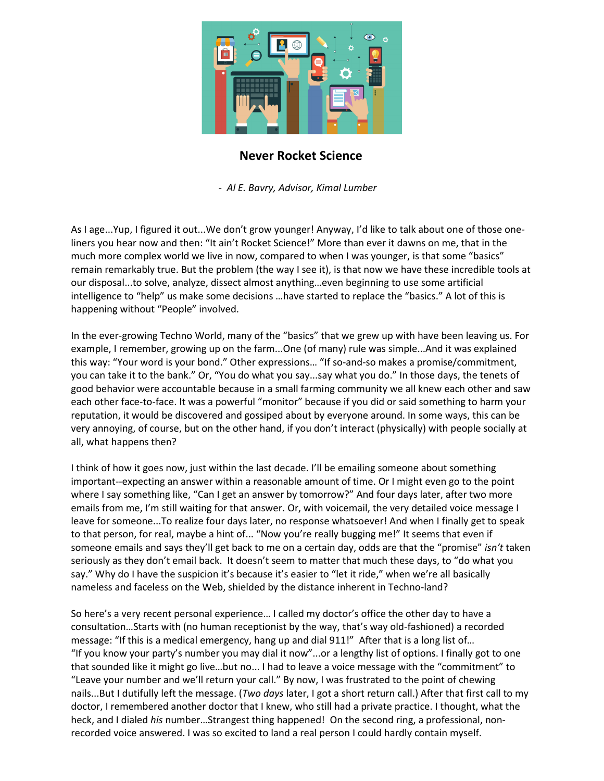

## **Never Rocket Science**

 *- Al E. Bavry, Advisor, Kimal Lumber* 

As I age...Yup, I figured it out...We don't grow younger! Anyway, I'd like to talk about one of those oneliners you hear now and then: "It ain't Rocket Science!" More than ever it dawns on me, that in the much more complex world we live in now, compared to when I was younger, is that some "basics" remain remarkably true. But the problem (the way I see it), is that now we have these incredible tools at our disposal...to solve, analyze, dissect almost anything…even beginning to use some artificial intelligence to "help" us make some decisions …have started to replace the "basics." A lot of this is happening without "People" involved.

In the ever-growing Techno World, many of the "basics" that we grew up with have been leaving us. For example, I remember, growing up on the farm...One (of many) rule was simple...And it was explained this way: "Your word is your bond." Other expressions… "If so-and-so makes a promise/commitment, you can take it to the bank." Or, "You do what you say...say what you do." In those days, the tenets of good behavior were accountable because in a small farming community we all knew each other and saw each other face-to-face. It was a powerful "monitor" because if you did or said something to harm your reputation, it would be discovered and gossiped about by everyone around. In some ways, this can be very annoying, of course, but on the other hand, if you don't interact (physically) with people socially at all, what happens then?

I think of how it goes now, just within the last decade. I'll be emailing someone about something important--expecting an answer within a reasonable amount of time. Or I might even go to the point where I say something like, "Can I get an answer by tomorrow?" And four days later, after two more emails from me, I'm still waiting for that answer. Or, with voicemail, the very detailed voice message I leave for someone...To realize four days later, no response whatsoever! And when I finally get to speak to that person, for real, maybe a hint of... "Now you're really bugging me!" It seems that even if someone emails and says they'll get back to me on a certain day, odds are that the "promise" *isn't* taken seriously as they don't email back. It doesn't seem to matter that much these days, to "do what you say." Why do I have the suspicion it's because it's easier to "let it ride," when we're all basically nameless and faceless on the Web, shielded by the distance inherent in Techno-land?

So here's a very recent personal experience… I called my doctor's office the other day to have a consultation…Starts with (no human receptionist by the way, that's way old-fashioned) a recorded message: "If this is a medical emergency, hang up and dial 911!" After that is a long list of… "If you know your party's number you may dial it now"...or a lengthy list of options. I finally got to one that sounded like it might go live…but no... I had to leave a voice message with the "commitment" to "Leave your number and we'll return your call." By now, I was frustrated to the point of chewing nails...But I dutifully left the message. (*Two days* later, I got a short return call.) After that first call to my doctor, I remembered another doctor that I knew, who still had a private practice. I thought, what the heck, and I dialed *his* number…Strangest thing happened! On the second ring, a professional, nonrecorded voice answered. I was so excited to land a real person I could hardly contain myself.